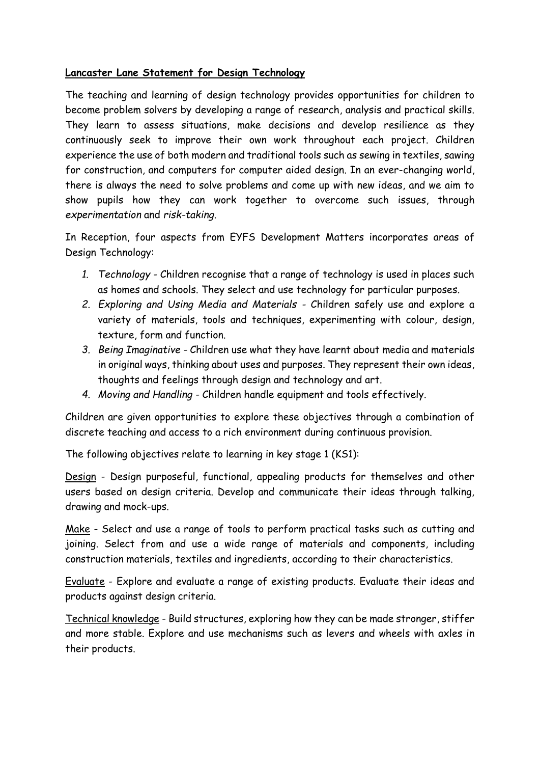## **Lancaster Lane Statement for Design Technology**

The teaching and learning of design technology provides opportunities for children to become problem solvers by developing a range of research, analysis and practical skills. They learn to assess situations, make decisions and develop resilience as they continuously seek to improve their own work throughout each project. Children experience the use of both modern and traditional tools such as sewing in textiles, sawing for construction, and computers for computer aided design. In an ever-changing world, there is always the need to solve problems and come up with new ideas, and we aim to show pupils how they can work together to overcome such issues, through *experimentation* and *risk-taking*.

In Reception, four aspects from EYFS Development Matters incorporates areas of Design Technology:

- *1. Technology -* Children recognise that a range of technology is used in places such as homes and schools. They select and use technology for particular purposes.
- *2. Exploring and Using Media and Materials -* Children safely use and explore a variety of materials, tools and techniques, experimenting with colour, design, texture, form and function.
- *3. Being Imaginative -* Children use what they have learnt about media and materials in original ways, thinking about uses and purposes. They represent their own ideas, thoughts and feelings through design and technology and art.
- *4. Moving and Handling -* Children handle equipment and tools effectively.

Children are given opportunities to explore these objectives through a combination of discrete teaching and access to a rich environment during continuous provision.

The following objectives relate to learning in key stage 1 (KS1):

Design - Design purposeful, functional, appealing products for themselves and other users based on design criteria. Develop and communicate their ideas through talking, drawing and mock-ups.

Make - Select and use a range of tools to perform practical tasks such as cutting and joining. Select from and use a wide range of materials and components, including construction materials, textiles and ingredients, according to their characteristics.

Evaluate - Explore and evaluate a range of existing products. Evaluate their ideas and products against design criteria.

Technical knowledge - Build structures, exploring how they can be made stronger, stiffer and more stable. Explore and use mechanisms such as levers and wheels with axles in their products.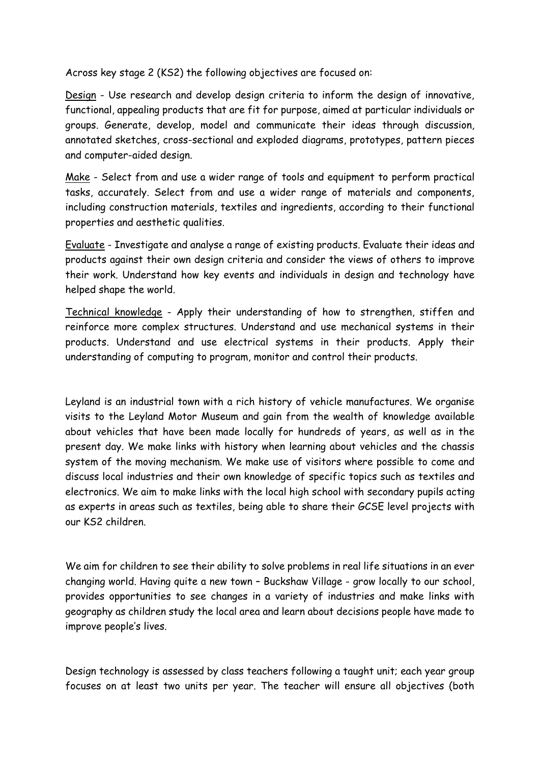Across key stage 2 (KS2) the following objectives are focused on:

Design - Use research and develop design criteria to inform the design of innovative, functional, appealing products that are fit for purpose, aimed at particular individuals or groups. Generate, develop, model and communicate their ideas through discussion, annotated sketches, cross-sectional and exploded diagrams, prototypes, pattern pieces and computer-aided design.

Make - Select from and use a wider range of tools and equipment to perform practical tasks, accurately. Select from and use a wider range of materials and components, including construction materials, textiles and ingredients, according to their functional properties and aesthetic qualities.

Evaluate - Investigate and analyse a range of existing products. Evaluate their ideas and products against their own design criteria and consider the views of others to improve their work. Understand how key events and individuals in design and technology have helped shape the world.

Technical knowledge - Apply their understanding of how to strengthen, stiffen and reinforce more complex structures. Understand and use mechanical systems in their products. Understand and use electrical systems in their products. Apply their understanding of computing to program, monitor and control their products.

Leyland is an industrial town with a rich history of vehicle manufactures. We organise visits to the Leyland Motor Museum and gain from the wealth of knowledge available about vehicles that have been made locally for hundreds of years, as well as in the present day. We make links with history when learning about vehicles and the chassis system of the moving mechanism. We make use of visitors where possible to come and discuss local industries and their own knowledge of specific topics such as textiles and electronics. We aim to make links with the local high school with secondary pupils acting as experts in areas such as textiles, being able to share their GCSE level projects with our KS2 children.

We aim for children to see their ability to solve problems in real life situations in an ever changing world. Having quite a new town – Buckshaw Village - grow locally to our school, provides opportunities to see changes in a variety of industries and make links with geography as children study the local area and learn about decisions people have made to improve people's lives.

Design technology is assessed by class teachers following a taught unit; each year group focuses on at least two units per year. The teacher will ensure all objectives (both